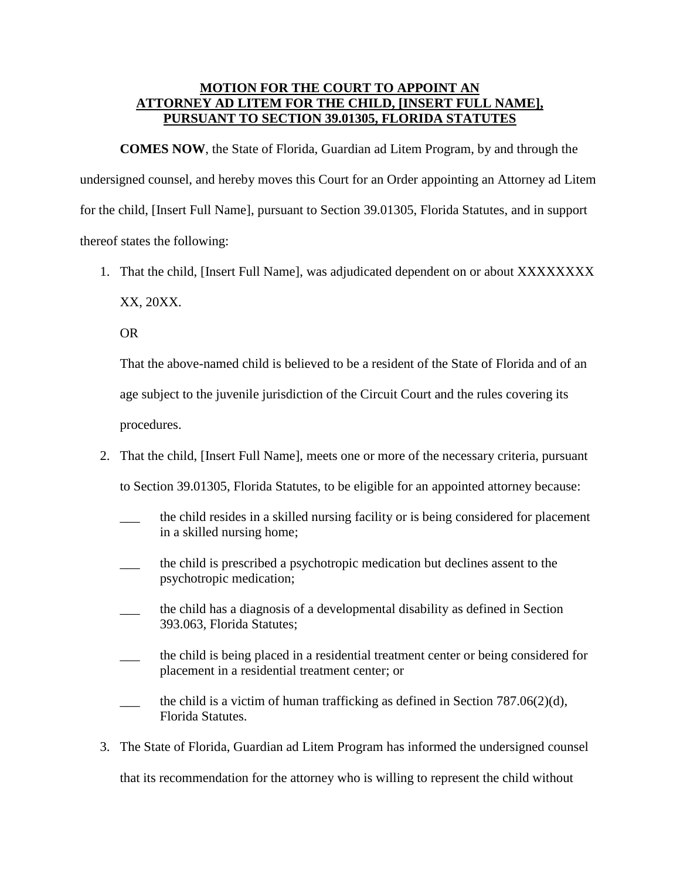## **MOTION FOR THE COURT TO APPOINT AN ATTORNEY AD LITEM FOR THE CHILD, [INSERT FULL NAME], PURSUANT TO SECTION 39.01305, FLORIDA STATUTES**

**COMES NOW**, the State of Florida, Guardian ad Litem Program, by and through the undersigned counsel, and hereby moves this Court for an Order appointing an Attorney ad Litem for the child, [Insert Full Name], pursuant to Section 39.01305, Florida Statutes, and in support thereof states the following:

1. That the child, [Insert Full Name], was adjudicated dependent on or about XXXXXXXX XX, 20XX.

OR

That the above-named child is believed to be a resident of the State of Florida and of an age subject to the juvenile jurisdiction of the Circuit Court and the rules covering its

procedures.

2. That the child, [Insert Full Name], meets one or more of the necessary criteria, pursuant

to Section 39.01305, Florida Statutes, to be eligible for an appointed attorney because:

- the child resides in a skilled nursing facility or is being considered for placement in a skilled nursing home;
- \_\_\_ the child is prescribed a psychotropic medication but declines assent to the psychotropic medication;
- \_\_\_ the child has a diagnosis of a developmental disability as defined in Section 393.063, Florida Statutes;
- \_\_\_ the child is being placed in a residential treatment center or being considered for placement in a residential treatment center; or
- $\qquad$  the child is a victim of human trafficking as defined in Section 787.06(2)(d), Florida Statutes.
- 3. The State of Florida, Guardian ad Litem Program has informed the undersigned counsel that its recommendation for the attorney who is willing to represent the child without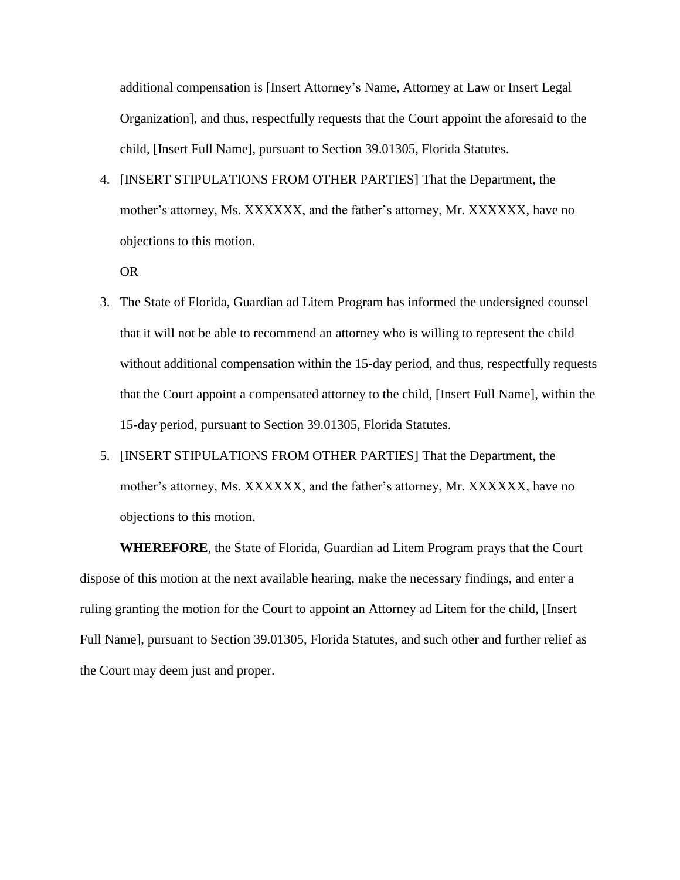additional compensation is [Insert Attorney's Name, Attorney at Law or Insert Legal Organization], and thus, respectfully requests that the Court appoint the aforesaid to the child, [Insert Full Name], pursuant to Section 39.01305, Florida Statutes.

4. [INSERT STIPULATIONS FROM OTHER PARTIES] That the Department, the mother's attorney, Ms. XXXXXX, and the father's attorney, Mr. XXXXXX, have no objections to this motion.

OR

- 3. The State of Florida, Guardian ad Litem Program has informed the undersigned counsel that it will not be able to recommend an attorney who is willing to represent the child without additional compensation within the 15-day period, and thus, respectfully requests that the Court appoint a compensated attorney to the child, [Insert Full Name], within the 15-day period, pursuant to Section 39.01305, Florida Statutes.
- 5. [INSERT STIPULATIONS FROM OTHER PARTIES] That the Department, the mother's attorney, Ms. XXXXXX, and the father's attorney, Mr. XXXXXX, have no objections to this motion.

**WHEREFORE**, the State of Florida, Guardian ad Litem Program prays that the Court dispose of this motion at the next available hearing, make the necessary findings, and enter a ruling granting the motion for the Court to appoint an Attorney ad Litem for the child, [Insert Full Name], pursuant to Section 39.01305, Florida Statutes, and such other and further relief as the Court may deem just and proper.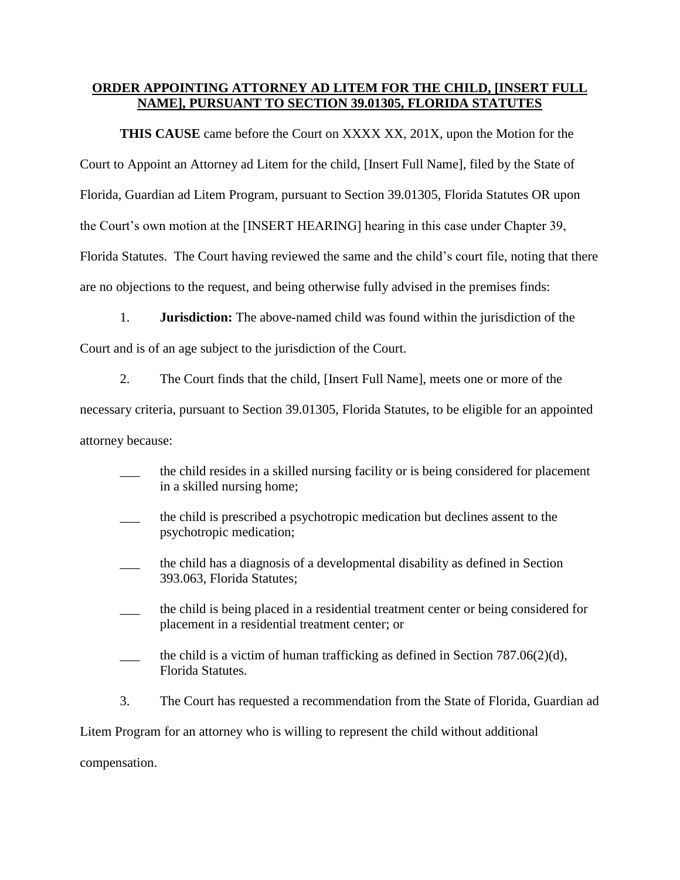## **ORDER APPOINTING ATTORNEY AD LITEM FOR THE CHILD, [INSERT FULL NAME], PURSUANT TO SECTION 39.01305, FLORIDA STATUTES**

**THIS CAUSE** came before the Court on XXXX XX, 201X, upon the Motion for the Court to Appoint an Attorney ad Litem for the child, [Insert Full Name], filed by the State of Florida, Guardian ad Litem Program, pursuant to Section 39.01305, Florida Statutes OR upon the Court's own motion at the [INSERT HEARING] hearing in this case under Chapter 39, Florida Statutes. The Court having reviewed the same and the child's court file, noting that there are no objections to the request, and being otherwise fully advised in the premises finds:

1. **Jurisdiction:** The above-named child was found within the jurisdiction of the Court and is of an age subject to the jurisdiction of the Court.

2. The Court finds that the child, [Insert Full Name], meets one or more of the

necessary criteria, pursuant to Section 39.01305, Florida Statutes, to be eligible for an appointed attorney because:

- the child resides in a skilled nursing facility or is being considered for placement in a skilled nursing home;
- \_\_\_ the child is prescribed a psychotropic medication but declines assent to the psychotropic medication;
- \_\_\_ the child has a diagnosis of a developmental disability as defined in Section 393.063, Florida Statutes;
- \_\_\_ the child is being placed in a residential treatment center or being considered for placement in a residential treatment center; or
- the child is a victim of human trafficking as defined in Section 787.06(2)(d), Florida Statutes.
- 3. The Court has requested a recommendation from the State of Florida, Guardian ad

Litem Program for an attorney who is willing to represent the child without additional

compensation.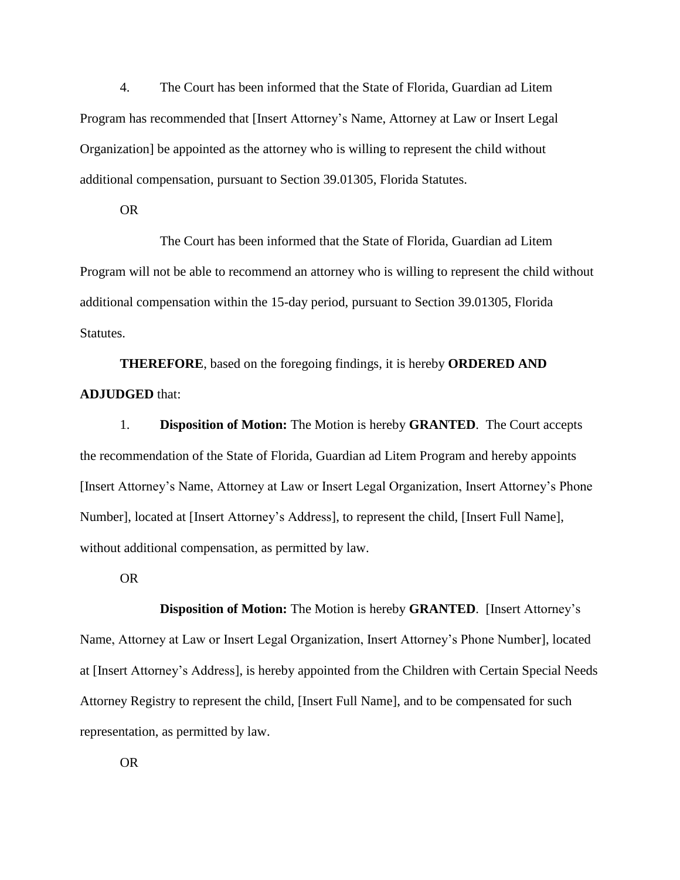4. The Court has been informed that the State of Florida, Guardian ad Litem Program has recommended that [Insert Attorney's Name, Attorney at Law or Insert Legal Organization] be appointed as the attorney who is willing to represent the child without additional compensation, pursuant to Section 39.01305, Florida Statutes.

OR

The Court has been informed that the State of Florida, Guardian ad Litem Program will not be able to recommend an attorney who is willing to represent the child without additional compensation within the 15-day period, pursuant to Section 39.01305, Florida Statutes.

**THEREFORE**, based on the foregoing findings, it is hereby **ORDERED AND ADJUDGED** that:

1. **Disposition of Motion:** The Motion is hereby **GRANTED**. The Court accepts the recommendation of the State of Florida, Guardian ad Litem Program and hereby appoints [Insert Attorney's Name, Attorney at Law or Insert Legal Organization, Insert Attorney's Phone Number], located at [Insert Attorney's Address], to represent the child, [Insert Full Name], without additional compensation, as permitted by law.

OR

**Disposition of Motion:** The Motion is hereby **GRANTED**. [Insert Attorney's Name, Attorney at Law or Insert Legal Organization, Insert Attorney's Phone Number], located at [Insert Attorney's Address], is hereby appointed from the Children with Certain Special Needs Attorney Registry to represent the child, [Insert Full Name], and to be compensated for such representation, as permitted by law.

OR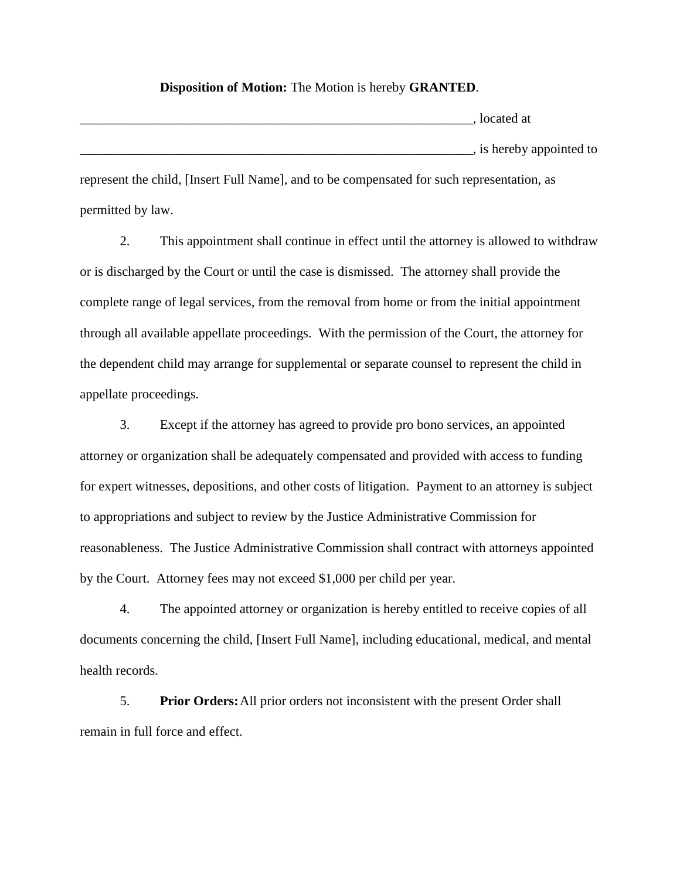## **Disposition of Motion:** The Motion is hereby **GRANTED**.

 $\Box$  . located at  $\overline{a}$ , is hereby appointed to represent the child, [Insert Full Name], and to be compensated for such representation, as

permitted by law.

2. This appointment shall continue in effect until the attorney is allowed to withdraw or is discharged by the Court or until the case is dismissed. The attorney shall provide the complete range of legal services, from the removal from home or from the initial appointment through all available appellate proceedings. With the permission of the Court, the attorney for the dependent child may arrange for supplemental or separate counsel to represent the child in appellate proceedings.

3. Except if the attorney has agreed to provide pro bono services, an appointed attorney or organization shall be adequately compensated and provided with access to funding for expert witnesses, depositions, and other costs of litigation. Payment to an attorney is subject to appropriations and subject to review by the Justice Administrative Commission for reasonableness. The Justice Administrative Commission shall contract with attorneys appointed by the Court. Attorney fees may not exceed \$1,000 per child per year.

4. The appointed attorney or organization is hereby entitled to receive copies of all documents concerning the child, [Insert Full Name], including educational, medical, and mental health records.

5. **Prior Orders:**All prior orders not inconsistent with the present Order shall remain in full force and effect.